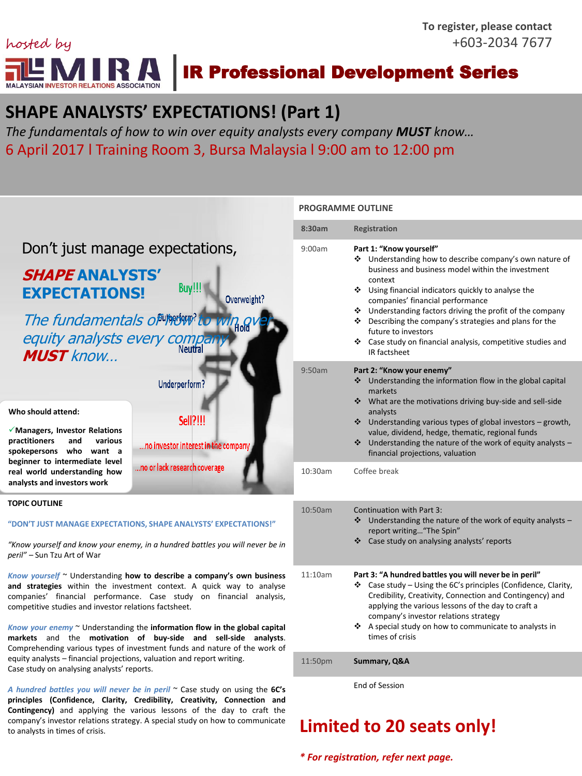

# **SHAPE ANALYSTS' EXPECTATIONS! (Part 1)**

*The fundamentals of how to win over equity analysts every company MUST know…*  6 April 2017 l Training Room 3, Bursa Malaysia l 9:00 am to 12:00 pm



*\* For registration, refer next page.*